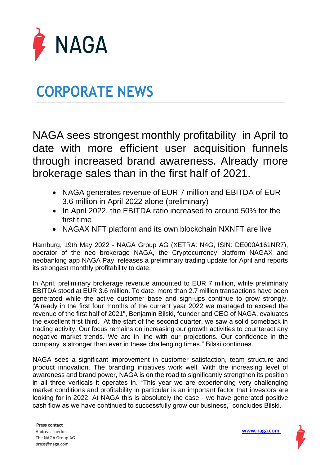

## **CORPORATE NEWS**

NAGA sees strongest monthly profitability in April to date with more efficient user acquisition funnels through increased brand awareness. Already more brokerage sales than in the first half of 2021.

- NAGA generates revenue of EUR 7 million and EBITDA of EUR 3.6 million in April 2022 alone (preliminary)
- In April 2022, the EBITDA ratio increased to around 50% for the first time
- NAGAX NFT platform and its own blockchain NXNFT are live

Hamburg, 19th May 2022 - NAGA Group AG (XETRA: N4G, ISIN: DE000A161NR7), operator of the neo brokerage NAGA, the Cryptocurrency platform NAGAX and neobanking app NAGA Pay, releases a preliminary trading update for April and reports its strongest monthly profitability to date.

In April, preliminary brokerage revenue amounted to EUR 7 million, while preliminary EBITDA stood at EUR 3.6 million. To date, more than 2.7 million transactions have been generated while the active customer base and sign-ups continue to grow strongly. "Already in the first four months of the current year 2022 we managed to exceed the revenue of the first half of 2021", Benjamin Bilski, founder and CEO of NAGA, evaluates the excellent first third. "At the start of the second quarter, we saw a solid comeback in trading activity. Our focus remains on increasing our growth activities to counteract any negative market trends. We are in line with our projections. Our confidence in the company is stronger than ever in these challenging times," Bilski continues.

NAGA sees a significant improvement in customer satisfaction, team structure and product innovation. The branding initiatives work well. With the increasing level of awareness and brand power, NAGA is on the road to significantly strengthen its position in all three verticals it operates in. "This year we are experiencing very challenging market conditions and profitability in particular is an important factor that investors are looking for in 2022. At NAGA this is absolutely the case - we have generated positive cash flow as we have continued to successfully grow our business," concludes Bilski.